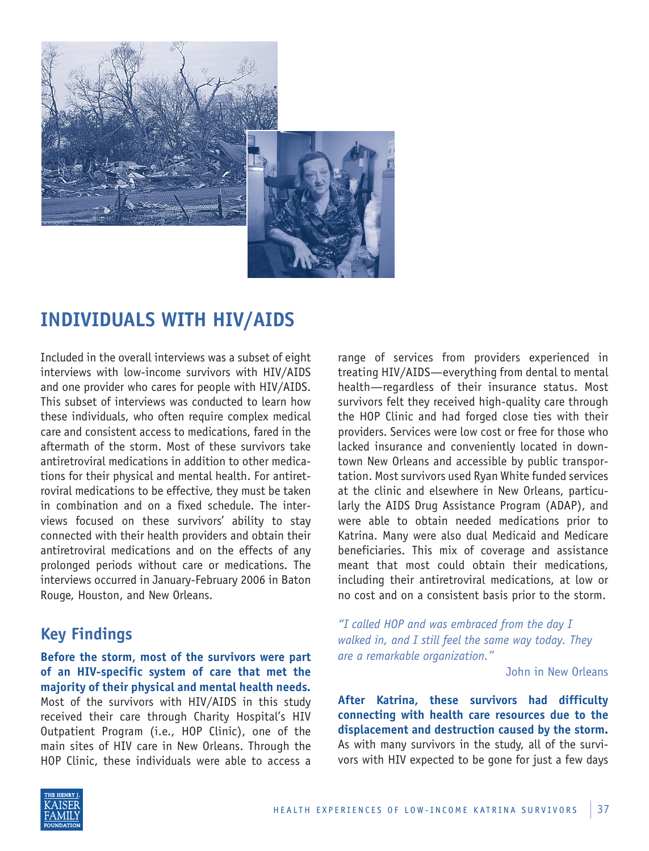

# **Individuals with HIV/AIDS**

Included in the overall interviews was a subset of eight interviews with low-income survivors with HIV/AIDS and one provider who cares for people with HIV/AIDS. This subset of interviews was conducted to learn how these individuals, who often require complex medical care and consistent access to medications, fared in the aftermath of the storm. Most of these survivors take antiretroviral medications in addition to other medications for their physical and mental health. For antiretroviral medications to be effective, they must be taken in combination and on a fixed schedule. The interviews focused on these survivors' ability to stay connected with their health providers and obtain their antiretroviral medications and on the effects of any prolonged periods without care or medications. The interviews occurred in January-February 2006 in Baton Rouge, Houston, and New Orleans.

## **Key Findings**

**Before the storm, most of the survivors were part of an HIV-specific system of care that met the majority of their physical and mental health needs***.*  Most of the survivors with HIV/AIDS in this study received their care through Charity Hospital's HIV Outpatient Program (i.e., HOP Clinic), one of the main sites of HIV care in New Orleans. Through the HOP Clinic, these individuals were able to access a

range of services from providers experienced in treating HIV/AIDS—everything from dental to mental health—regardless of their insurance status. Most survivors felt they received high-quality care through the HOP Clinic and had forged close ties with their providers. Services were low cost or free for those who lacked insurance and conveniently located in downtown New Orleans and accessible by public transportation. Most survivors used Ryan White funded services at the clinic and elsewhere in New Orleans, particularly the AIDS Drug Assistance Program (ADAP), and were able to obtain needed medications prior to Katrina. Many were also dual Medicaid and Medicare beneficiaries. This mix of coverage and assistance meant that most could obtain their medications, including their antiretroviral medications, at low or no cost and on a consistent basis prior to the storm.

*"I called HOP and was embraced from the day I walked in, and I still feel the same way today. They are a remarkable organization."*

John in New Orleans

**After Katrina, these survivors had difficulty connecting with health care resources due to the displacement and destruction caused by the storm.**  As with many survivors in the study, all of the survivors with HIV expected to be gone for just a few days

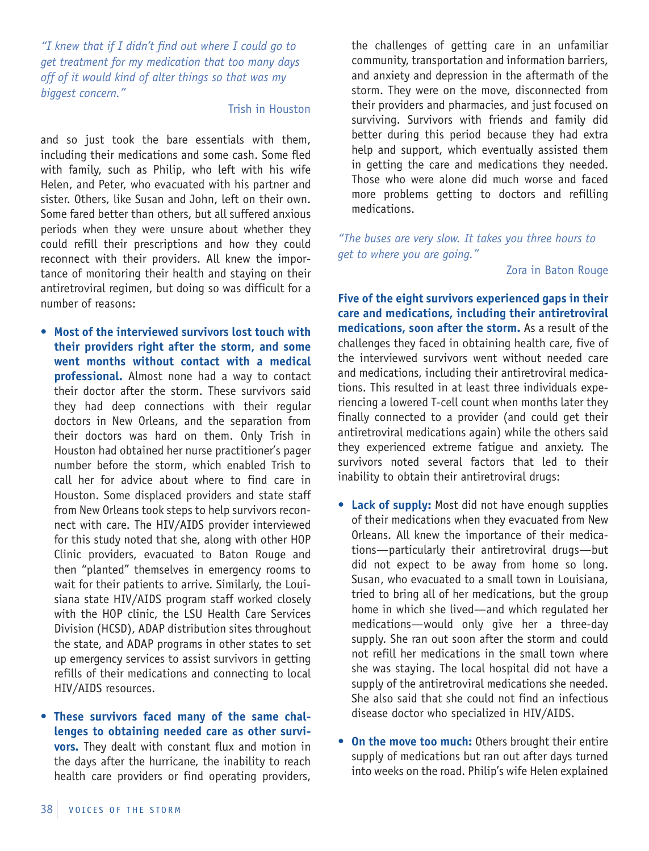*"I knew that if I didn't find out where I could go to get treatment for my medication that too many days off of it would kind of alter things so that was my biggest concern."*

#### Trish in Houston

and so just took the bare essentials with them, including their medications and some cash. Some fled with family, such as Philip, who left with his wife Helen, and Peter, who evacuated with his partner and sister. Others, like Susan and John, left on their own. Some fared better than others, but all suffered anxious periods when they were unsure about whether they could refill their prescriptions and how they could reconnect with their providers. All knew the importance of monitoring their health and staying on their antiretroviral regimen, but doing so was difficult for a number of reasons:

- **Most of the interviewed survivors lost touch with their providers right after the storm, and some went months without contact with a medical professional.** Almost none had a way to contact their doctor after the storm. These survivors said they had deep connections with their regular doctors in New Orleans, and the separation from their doctors was hard on them. Only Trish in Houston had obtained her nurse practitioner's pager number before the storm, which enabled Trish to call her for advice about where to find care in Houston. Some displaced providers and state staff from New Orleans took steps to help survivors reconnect with care. The HIV/AIDS provider interviewed for this study noted that she, along with other HOP Clinic providers, evacuated to Baton Rouge and then "planted" themselves in emergency rooms to wait for their patients to arrive. Similarly, the Louisiana state HIV/AIDS program staff worked closely with the HOP clinic, the LSU Health Care Services Division (HCSD), ADAP distribution sites throughout the state, and ADAP programs in other states to set up emergency services to assist survivors in getting refills of their medications and connecting to local HIV/AIDS resources.
- **These survivors faced many of the same challenges to obtaining needed care as other survivors.** They dealt with constant flux and motion in the days after the hurricane, the inability to reach health care providers or find operating providers,

the challenges of getting care in an unfamiliar community, transportation and information barriers, and anxiety and depression in the aftermath of the storm. They were on the move, disconnected from their providers and pharmacies, and just focused on surviving. Survivors with friends and family did better during this period because they had extra help and support, which eventually assisted them in getting the care and medications they needed. Those who were alone did much worse and faced more problems getting to doctors and refilling medications.

*"The buses are very slow. It takes you three hours to get to where you are going."*

#### Zora in Baton Rouge

**Five of the eight survivors experienced gaps in their care and medications, including their antiretroviral medications, soon after the storm.** As a result of the challenges they faced in obtaining health care, five of the interviewed survivors went without needed care and medications, including their antiretroviral medications. This resulted in at least three individuals experiencing a lowered T-cell count when months later they finally connected to a provider (and could get their antiretroviral medications again) while the others said they experienced extreme fatigue and anxiety. The survivors noted several factors that led to their inability to obtain their antiretroviral drugs:

- **Lack of supply:** Most did not have enough supplies of their medications when they evacuated from New Orleans. All knew the importance of their medications—particularly their antiretroviral drugs—but did not expect to be away from home so long. Susan, who evacuated to a small town in Louisiana, tried to bring all of her medications, but the group home in which she lived—and which regulated her medications—would only give her a three-day supply. She ran out soon after the storm and could not refill her medications in the small town where she was staying. The local hospital did not have a supply of the antiretroviral medications she needed. She also said that she could not find an infectious disease doctor who specialized in HIV/AIDS.
- **On the move too much:** Others brought their entire supply of medications but ran out after days turned into weeks on the road. Philip's wife Helen explained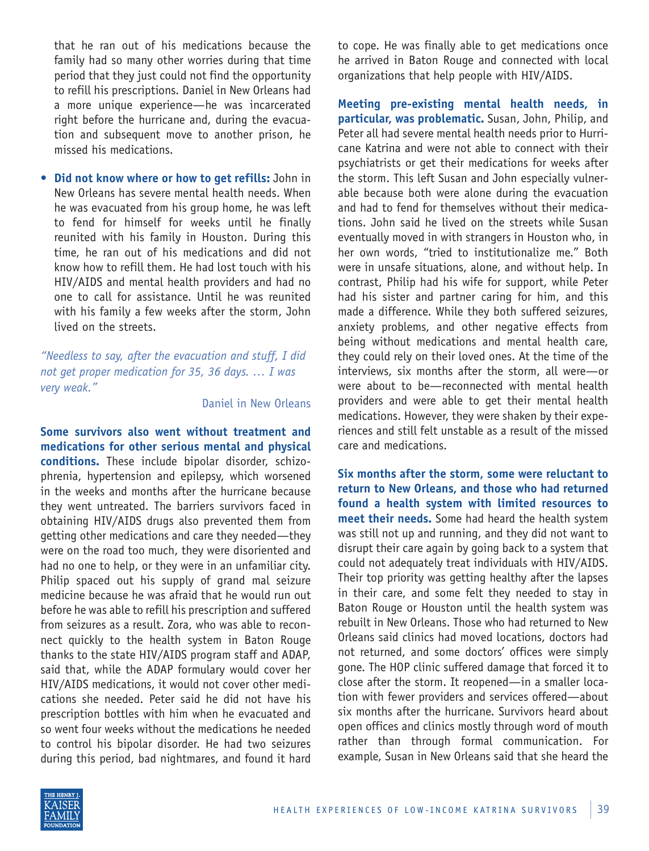that he ran out of his medications because the family had so many other worries during that time period that they just could not find the opportunity to refill his prescriptions. Daniel in New Orleans had a more unique experience—he was incarcerated right before the hurricane and, during the evacuation and subsequent move to another prison, he missed his medications.

**• Did not know where or how to get refills:** John in New Orleans has severe mental health needs. When he was evacuated from his group home, he was left to fend for himself for weeks until he finally reunited with his family in Houston. During this time, he ran out of his medications and did not know how to refill them. He had lost touch with his HIV/AIDS and mental health providers and had no one to call for assistance. Until he was reunited with his family a few weeks after the storm, John lived on the streets.

*"Needless to say, after the evacuation and stuff, I did not get proper medication for 35, 36 days. … I was very weak."*

Daniel in New Orleans

**Some survivors also went without treatment and medications for other serious mental and physical conditions.** These include bipolar disorder, schizophrenia, hypertension and epilepsy, which worsened in the weeks and months after the hurricane because they went untreated. The barriers survivors faced in obtaining HIV/AIDS drugs also prevented them from getting other medications and care they needed—they were on the road too much, they were disoriented and had no one to help, or they were in an unfamiliar city. Philip spaced out his supply of grand mal seizure medicine because he was afraid that he would run out before he was able to refill his prescription and suffered from seizures as a result. Zora, who was able to reconnect quickly to the health system in Baton Rouge thanks to the state HIV/AIDS program staff and ADAP, said that, while the ADAP formulary would cover her HIV/AIDS medications, it would not cover other medications she needed. Peter said he did not have his prescription bottles with him when he evacuated and so went four weeks without the medications he needed to control his bipolar disorder. He had two seizures during this period, bad nightmares, and found it hard to cope. He was finally able to get medications once he arrived in Baton Rouge and connected with local organizations that help people with HIV/AIDS.

**Meeting pre-existing mental health needs, in particular, was problematic.** Susan, John, Philip, and Peter all had severe mental health needs prior to Hurricane Katrina and were not able to connect with their psychiatrists or get their medications for weeks after the storm. This left Susan and John especially vulnerable because both were alone during the evacuation and had to fend for themselves without their medications. John said he lived on the streets while Susan eventually moved in with strangers in Houston who, in her own words, "tried to institutionalize me." Both were in unsafe situations, alone, and without help. In contrast, Philip had his wife for support, while Peter had his sister and partner caring for him, and this made a difference. While they both suffered seizures, anxiety problems, and other negative effects from being without medications and mental health care, they could rely on their loved ones. At the time of the interviews, six months after the storm, all were—or were about to be—reconnected with mental health providers and were able to get their mental health medications. However, they were shaken by their experiences and still felt unstable as a result of the missed care and medications.

**Six months after the storm, some were reluctant to return to New Orleans, and those who had returned found a health system with limited resources to meet their needs.** Some had heard the health system was still not up and running, and they did not want to disrupt their care again by going back to a system that could not adequately treat individuals with HIV/AIDS. Their top priority was getting healthy after the lapses in their care, and some felt they needed to stay in Baton Rouge or Houston until the health system was rebuilt in New Orleans. Those who had returned to New Orleans said clinics had moved locations, doctors had not returned, and some doctors' offices were simply gone. The HOP clinic suffered damage that forced it to close after the storm. It reopened—in a smaller location with fewer providers and services offered—about six months after the hurricane. Survivors heard about open offices and clinics mostly through word of mouth rather than through formal communication. For example, Susan in New Orleans said that she heard the